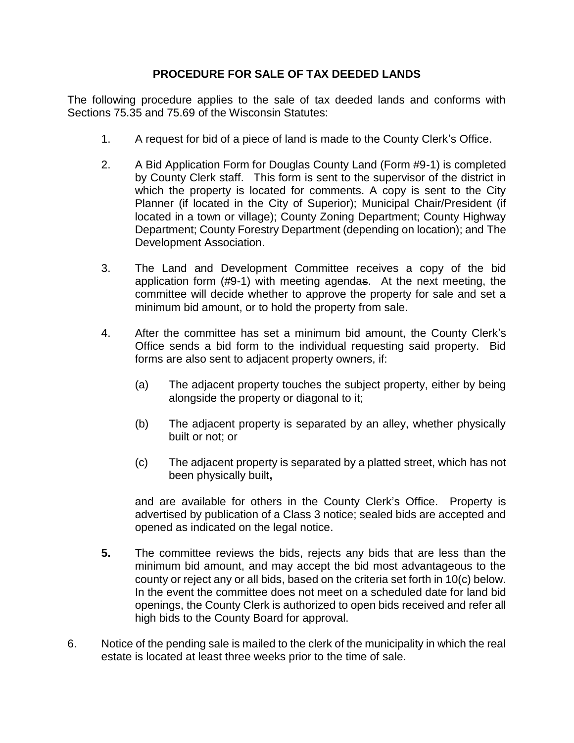## **PROCEDURE FOR SALE OF TAX DEEDED LANDS**

The following procedure applies to the sale of tax deeded lands and conforms with Sections 75.35 and 75.69 of the Wisconsin Statutes:

- 1. A request for bid of a piece of land is made to the County Clerk's Office.
- 2. A Bid Application Form for Douglas County Land (Form #9-1) is completed by County Clerk staff. This form is sent to the supervisor of the district in which the property is located for comments. A copy is sent to the City Planner (if located in the City of Superior); Municipal Chair/President (if located in a town or village); County Zoning Department; County Highway Department; County Forestry Department (depending on location); and The Development Association.
- 3. The Land and Development Committee receives a copy of the bid application form (#9-1) with meeting agendas. At the next meeting, the committee will decide whether to approve the property for sale and set a minimum bid amount, or to hold the property from sale.
- 4. After the committee has set a minimum bid amount, the County Clerk's Office sends a bid form to the individual requesting said property. Bid forms are also sent to adjacent property owners, if:
	- (a) The adjacent property touches the subject property, either by being alongside the property or diagonal to it;
	- (b) The adjacent property is separated by an alley, whether physically built or not; or
	- (c) The adjacent property is separated by a platted street, which has not been physically built**,**

and are available for others in the County Clerk's Office. Property is advertised by publication of a Class 3 notice; sealed bids are accepted and opened as indicated on the legal notice.

- **5.** The committee reviews the bids, rejects any bids that are less than the minimum bid amount, and may accept the bid most advantageous to the county or reject any or all bids, based on the criteria set forth in 10(c) below. In the event the committee does not meet on a scheduled date for land bid openings, the County Clerk is authorized to open bids received and refer all high bids to the County Board for approval.
- 6. Notice of the pending sale is mailed to the clerk of the municipality in which the real estate is located at least three weeks prior to the time of sale.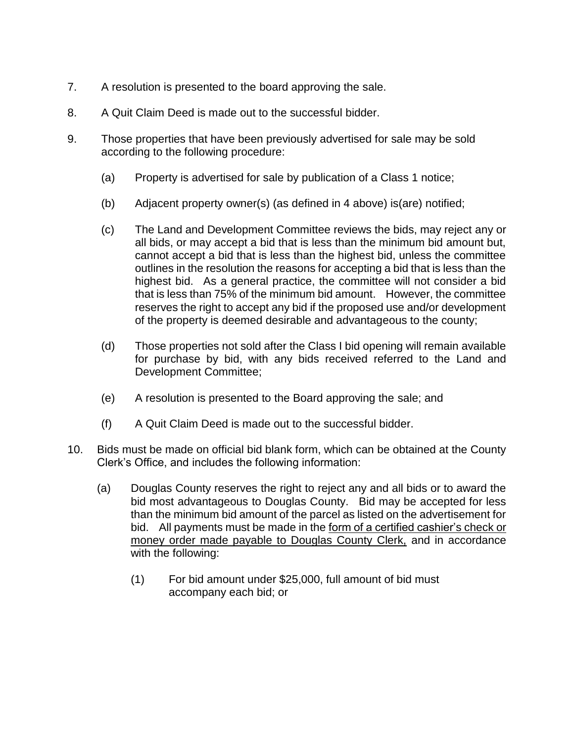- 7. A resolution is presented to the board approving the sale.
- 8. A Quit Claim Deed is made out to the successful bidder.
- 9. Those properties that have been previously advertised for sale may be sold according to the following procedure:
	- (a) Property is advertised for sale by publication of a Class 1 notice;
	- (b) Adjacent property owner(s) (as defined in 4 above) is(are) notified;
	- (c) The Land and Development Committee reviews the bids, may reject any or all bids, or may accept a bid that is less than the minimum bid amount but, cannot accept a bid that is less than the highest bid, unless the committee outlines in the resolution the reasons for accepting a bid that is less than the highest bid. As a general practice, the committee will not consider a bid that is less than 75% of the minimum bid amount. However, the committee reserves the right to accept any bid if the proposed use and/or development of the property is deemed desirable and advantageous to the county;
	- (d) Those properties not sold after the Class I bid opening will remain available for purchase by bid, with any bids received referred to the Land and Development Committee;
	- (e) A resolution is presented to the Board approving the sale; and
	- (f) A Quit Claim Deed is made out to the successful bidder.
- 10. Bids must be made on official bid blank form, which can be obtained at the County Clerk's Office, and includes the following information:
	- (a) Douglas County reserves the right to reject any and all bids or to award the bid most advantageous to Douglas County. Bid may be accepted for less than the minimum bid amount of the parcel as listed on the advertisement for bid. All payments must be made in the form of a certified cashier's check or money order made payable to Douglas County Clerk, and in accordance with the following:
		- (1) For bid amount under \$25,000, full amount of bid must accompany each bid; or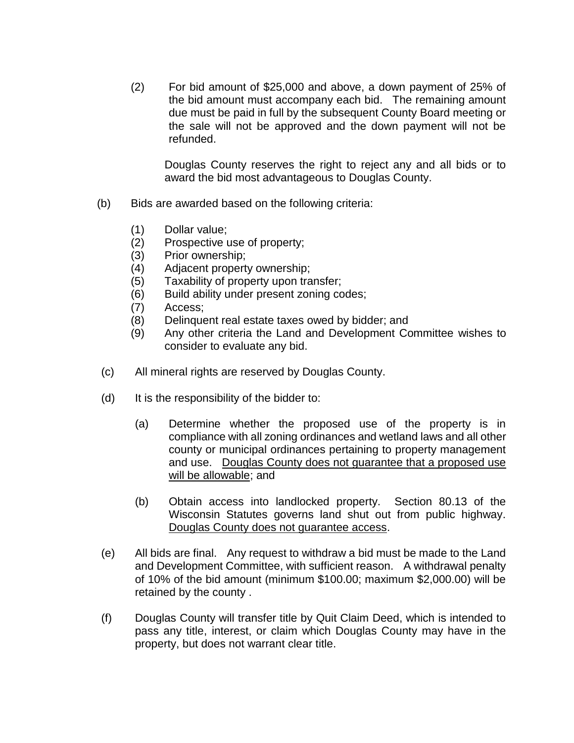(2) For bid amount of \$25,000 and above, a down payment of 25% of the bid amount must accompany each bid. The remaining amount due must be paid in full by the subsequent County Board meeting or the sale will not be approved and the down payment will not be refunded.

Douglas County reserves the right to reject any and all bids or to award the bid most advantageous to Douglas County.

- (b) Bids are awarded based on the following criteria:
	- (1) Dollar value;
	- (2) Prospective use of property;
	- (3) Prior ownership;
	- (4) Adjacent property ownership;
	- (5) Taxability of property upon transfer;
	- (6) Build ability under present zoning codes;
	- (7) Access;
	- (8) Delinquent real estate taxes owed by bidder; and
	- (9) Any other criteria the Land and Development Committee wishes to consider to evaluate any bid.
- (c) All mineral rights are reserved by Douglas County.
- (d) It is the responsibility of the bidder to:
	- (a) Determine whether the proposed use of the property is in compliance with all zoning ordinances and wetland laws and all other county or municipal ordinances pertaining to property management and use. Douglas County does not guarantee that a proposed use will be allowable; and
	- (b) Obtain access into landlocked property. Section 80.13 of the Wisconsin Statutes governs land shut out from public highway. Douglas County does not guarantee access.
- (e) All bids are final. Any request to withdraw a bid must be made to the Land and Development Committee, with sufficient reason. A withdrawal penalty of 10% of the bid amount (minimum \$100.00; maximum \$2,000.00) will be retained by the county .
- (f) Douglas County will transfer title by Quit Claim Deed, which is intended to pass any title, interest, or claim which Douglas County may have in the property, but does not warrant clear title.